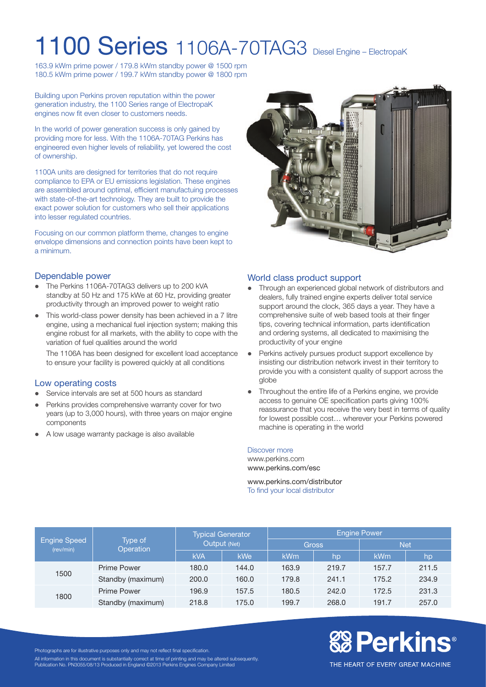## 1100 Series 1106A-70TAG3 Diesel Engine – ElectropaK

163.9 kWm prime power / 179.8 kWm standby power @ 1500 rpm 180.5 kWm prime power / 199.7 kWm standby power @ 1800 rpm

Building upon Perkins proven reputation within the power generation industry, the 1100 Series range of ElectropaK engines now fit even closer to customers needs.

In the world of power generation success is only gained by providing more for less. With the 1106A-70TAG Perkins has engineered even higher levels of reliability, yet lowered the cost of ownership.

1100A units are designed for territories that do not require compliance to EPA or EU emissions legislation. These engines are assembled around optimal, efficient manufactuing processes with state-of-the-art technology. They are built to provide the exact power solution for customers who sell their applications into lesser regulated countries.

Focusing on our common platform theme, changes to engine envelope dimensions and connection points have been kept to a minimum.

### Dependable power

- The Perkins 1106A-70TAG3 delivers up to 200 kVA standby at 50 Hz and 175 kWe at 60 Hz, providing greater productivity through an improved power to weight ratio
- This world-class power density has been achieved in a 7 litre engine, using a mechanical fuel injection system; making this engine robust for all markets, with the ability to cope with the variation of fuel qualities around the world

The 1106A has been designed for excellent load acceptance to ensure your facility is powered quickly at all conditions

### Low operating costs

- Service intervals are set at 500 hours as standard
- Perkins provides comprehensive warranty cover for two years (up to 3,000 hours), with three years on major engine components
- A low usage warranty package is also available



### World class product support

- Through an experienced global network of distributors and dealers, fully trained engine experts deliver total service support around the clock, 365 days a year. They have a comprehensive suite of web based tools at their finger tips, covering technical information, parts identification and ordering systems, all dedicated to maximising the productivity of your engine
- Perkins actively pursues product support excellence by insisting our distribution network invest in their territory to provide you with a consistent quality of support across the globe
- Throughout the entire life of a Perkins engine, we provide access to genuine OE specification parts giving 100% reassurance that you receive the very best in terms of quality for lowest possible cost… wherever your Perkins powered machine is operating in the world

#### Discover more

www.perkins.com www.perkins.com/esc

www.perkins.com/distributor To find your local distributor

| Engine Speed<br>(rev/min) | Type of<br>Operation | <b>Typical Generator</b><br>Output (Net) |            | <b>Engine Power</b> |       |            |       |
|---------------------------|----------------------|------------------------------------------|------------|---------------------|-------|------------|-------|
|                           |                      |                                          |            | <b>Gross</b>        |       | <b>Net</b> |       |
|                           |                      | <b>kVA</b>                               | <b>kWe</b> | <b>kWm</b>          | hp    | <b>kWm</b> | hp    |
| 1500                      | <b>Prime Power</b>   | 180.0                                    | 144.0      | 163.9               | 219.7 | 157.7      | 211.5 |
|                           | Standby (maximum)    | 200.0                                    | 160.0      | 179.8               | 241.1 | 175.2      | 234.9 |
| 1800                      | <b>Prime Power</b>   | 196.9                                    | 157.5      | 180.5               | 242.0 | 172.5      | 231.3 |
|                           | Standby (maximum)    | 218.8                                    | 175.0      | 199.7               | 268.0 | 191.7      | 257.0 |

# **&B Perkins®**

Photographs are for illustrative purposes only and may not reflect final specification.

All information in this document is substantially correct at time of printing and may be altered subsequently. Publication No. PN3055/08/13 Produced in England ©2013 Perkins Engines Company Limited

THE HEART OF EVERY GREAT MACHINE